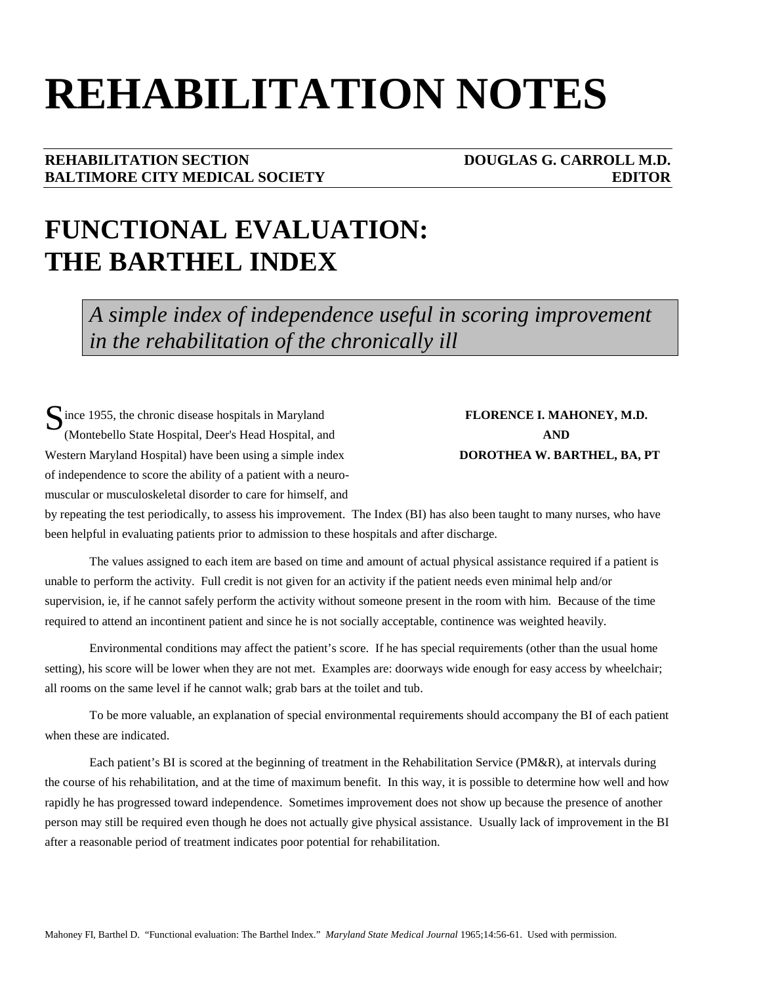# **REHABILITATION NOTES**

#### **REHABILITATION SECTION DOUGLAS G. CARROLL M.D. BALTIMORE CITY MEDICAL SOCIETY CONSUMING A REDITOR CONSUMING A REDITOR**

## **FUNCTIONAL EVALUATION: THE BARTHEL INDEX**

*A simple index of independence useful in scoring improvement in the rehabilitation of the chronically ill* 

Since 1955, the chronic disease hospitals in Maryland **FLORENCE I. MAHONEY, M.D.**<br>
Montebello State Hospital Deer's Head Hospital and **AND** (Montebello State Hospital, Deer's Head Hospital, and **AND** Western Maryland Hospital) have been using a simple index **DOROTHEA W. BARTHEL, BA, PT** of independence to score the ability of a patient with a neuromuscular or musculoskeletal disorder to care for himself, and

by repeating the test periodically, to assess his improvement. The Index (BI) has also been taught to many nurses, who have been helpful in evaluating patients prior to admission to these hospitals and after discharge.

The values assigned to each item are based on time and amount of actual physical assistance required if a patient is unable to perform the activity. Full credit is not given for an activity if the patient needs even minimal help and/or supervision, ie, if he cannot safely perform the activity without someone present in the room with him. Because of the time required to attend an incontinent patient and since he is not socially acceptable, continence was weighted heavily.

Environmental conditions may affect the patient's score. If he has special requirements (other than the usual home setting), his score will be lower when they are not met. Examples are: doorways wide enough for easy access by wheelchair; all rooms on the same level if he cannot walk; grab bars at the toilet and tub.

To be more valuable, an explanation of special environmental requirements should accompany the BI of each patient when these are indicated.

Each patient's BI is scored at the beginning of treatment in the Rehabilitation Service (PM&R), at intervals during the course of his rehabilitation, and at the time of maximum benefit. In this way, it is possible to determine how well and how rapidly he has progressed toward independence. Sometimes improvement does not show up because the presence of another person may still be required even though he does not actually give physical assistance. Usually lack of improvement in the BI after a reasonable period of treatment indicates poor potential for rehabilitation.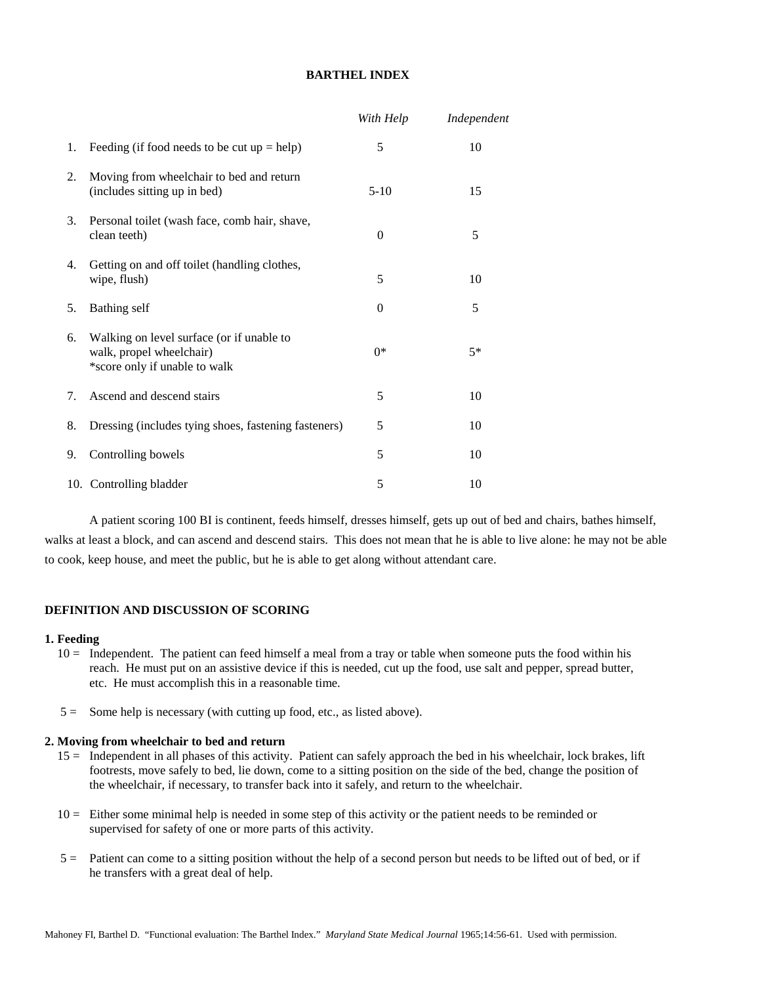#### **BARTHEL INDEX**

|    |                                                                                                        | With Help | Independent |
|----|--------------------------------------------------------------------------------------------------------|-----------|-------------|
| 1. | Feeding (if food needs to be cut $up = help$ )                                                         | 5         | 10          |
| 2. | Moving from wheelchair to bed and return<br>(includes sitting up in bed)                               | $5-10$    | 15          |
| 3. | Personal toilet (wash face, comb hair, shave,<br>clean teeth)                                          | $\theta$  | 5           |
| 4. | Getting on and off toilet (handling clothes,<br>wipe, flush)                                           | 5         | 10          |
| 5. | Bathing self                                                                                           | $\Omega$  | 5           |
| 6. | Walking on level surface (or if unable to<br>walk, propel wheelchair)<br>*score only if unable to walk | $0*$      | $5*$        |
| 7. | Ascend and descend stairs                                                                              | 5         | 10          |
| 8. | Dressing (includes tying shoes, fastening fasteners)                                                   | 5         | 10          |
| 9. | Controlling bowels                                                                                     | 5         | 10          |
|    | 10. Controlling bladder                                                                                | 5         | 10          |

A patient scoring 100 BI is continent, feeds himself, dresses himself, gets up out of bed and chairs, bathes himself, walks at least a block, and can ascend and descend stairs. This does not mean that he is able to live alone: he may not be able to cook, keep house, and meet the public, but he is able to get along without attendant care.

#### **DEFINITION AND DISCUSSION OF SCORING**

#### **1. Feeding**

- 10 = Independent. The patient can feed himself a meal from a tray or table when someone puts the food within his reach. He must put on an assistive device if this is needed, cut up the food, use salt and pepper, spread butter, etc. He must accomplish this in a reasonable time.
- 5 = Some help is necessary (with cutting up food, etc., as listed above).

#### **2. Moving from wheelchair to bed and return**

- 15 = Independent in all phases of this activity. Patient can safely approach the bed in his wheelchair, lock brakes, lift footrests, move safely to bed, lie down, come to a sitting position on the side of the bed, change the position of the wheelchair, if necessary, to transfer back into it safely, and return to the wheelchair.
- 10 = Either some minimal help is needed in some step of this activity or the patient needs to be reminded or supervised for safety of one or more parts of this activity.
- 5 = Patient can come to a sitting position without the help of a second person but needs to be lifted out of bed, or if he transfers with a great deal of help.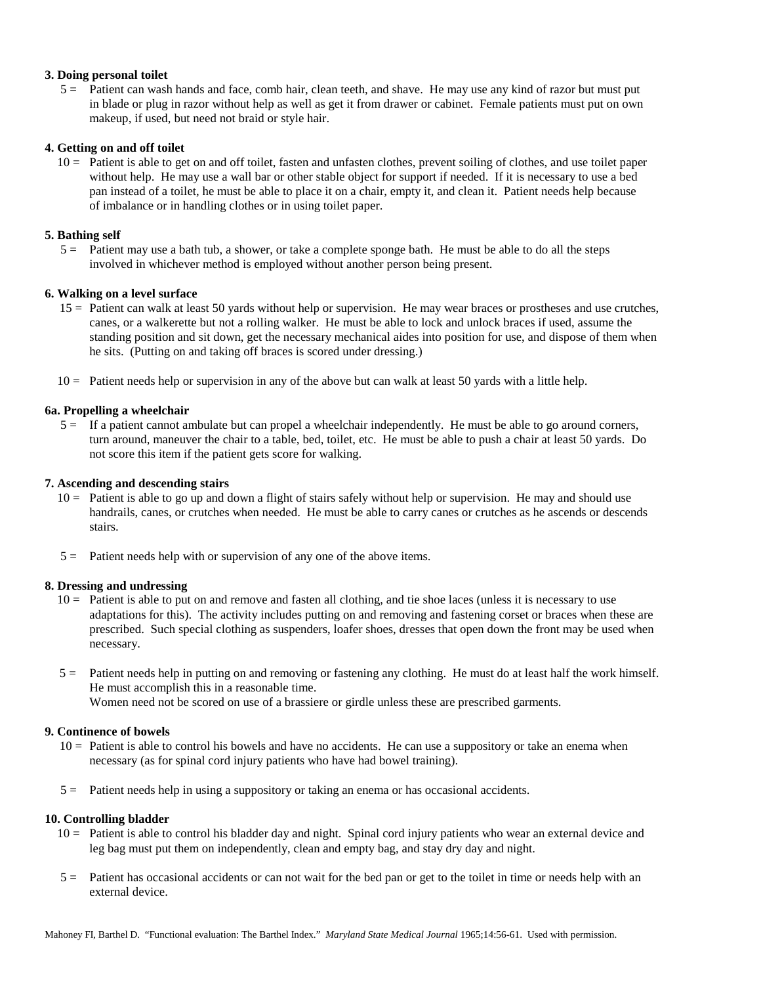#### **3. Doing personal toilet**

 5 = Patient can wash hands and face, comb hair, clean teeth, and shave. He may use any kind of razor but must put in blade or plug in razor without help as well as get it from drawer or cabinet. Female patients must put on own makeup, if used, but need not braid or style hair.

#### **4. Getting on and off toilet**

 10 = Patient is able to get on and off toilet, fasten and unfasten clothes, prevent soiling of clothes, and use toilet paper without help. He may use a wall bar or other stable object for support if needed. If it is necessary to use a bed pan instead of a toilet, he must be able to place it on a chair, empty it, and clean it. Patient needs help because of imbalance or in handling clothes or in using toilet paper.

#### **5. Bathing self**

 5 = Patient may use a bath tub, a shower, or take a complete sponge bath. He must be able to do all the steps involved in whichever method is employed without another person being present.

#### **6. Walking on a level surface**

- 15 = Patient can walk at least 50 yards without help or supervision. He may wear braces or prostheses and use crutches, canes, or a walkerette but not a rolling walker. He must be able to lock and unlock braces if used, assume the standing position and sit down, get the necessary mechanical aides into position for use, and dispose of them when he sits. (Putting on and taking off braces is scored under dressing.)
- 10 = Patient needs help or supervision in any of the above but can walk at least 50 yards with a little help.

#### **6a. Propelling a wheelchair**

 5 = If a patient cannot ambulate but can propel a wheelchair independently. He must be able to go around corners, turn around, maneuver the chair to a table, bed, toilet, etc. He must be able to push a chair at least 50 yards. Do not score this item if the patient gets score for walking.

#### **7. Ascending and descending stairs**

- 10 = Patient is able to go up and down a flight of stairs safely without help or supervision. He may and should use handrails, canes, or crutches when needed. He must be able to carry canes or crutches as he ascends or descends stairs.
- 5 = Patient needs help with or supervision of any one of the above items.

#### **8. Dressing and undressing**

- 10 = Patient is able to put on and remove and fasten all clothing, and tie shoe laces (unless it is necessary to use adaptations for this). The activity includes putting on and removing and fastening corset or braces when these are prescribed. Such special clothing as suspenders, loafer shoes, dresses that open down the front may be used when necessary.
- 5 = Patient needs help in putting on and removing or fastening any clothing. He must do at least half the work himself. He must accomplish this in a reasonable time. Women need not be scored on use of a brassiere or girdle unless these are prescribed garments.

### **9. Continence of bowels**

- 10 = Patient is able to control his bowels and have no accidents. He can use a suppository or take an enema when necessary (as for spinal cord injury patients who have had bowel training).
- 5 = Patient needs help in using a suppository or taking an enema or has occasional accidents.

#### **10. Controlling bladder**

- 10 = Patient is able to control his bladder day and night. Spinal cord injury patients who wear an external device and leg bag must put them on independently, clean and empty bag, and stay dry day and night.
- 5 = Patient has occasional accidents or can not wait for the bed pan or get to the toilet in time or needs help with an external device.